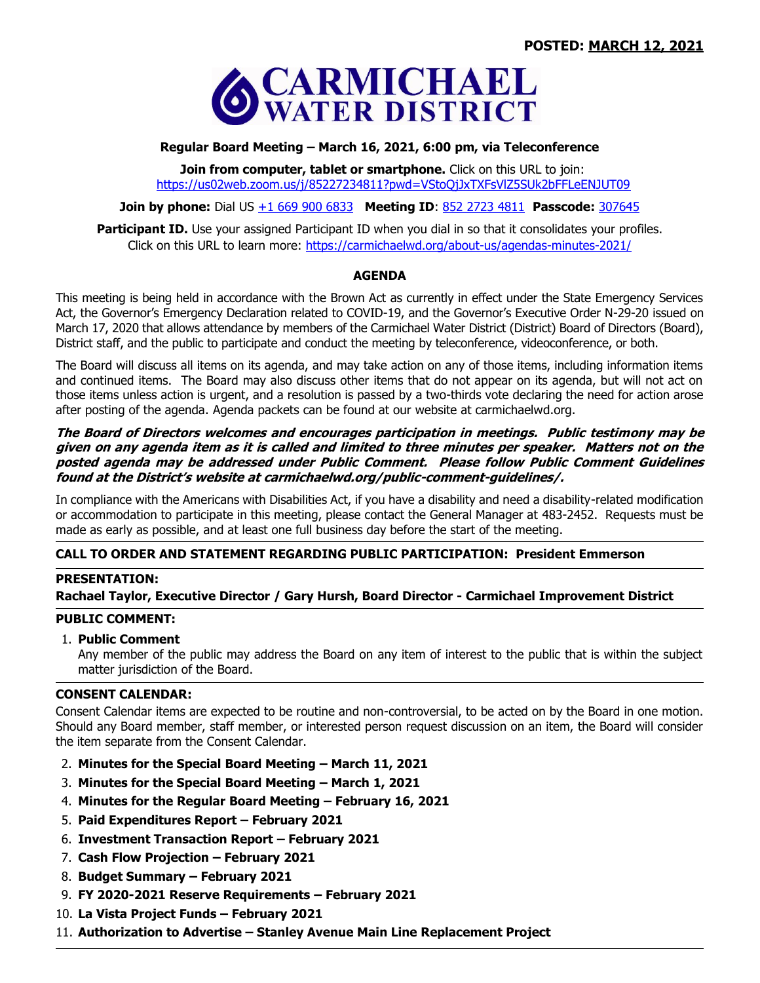

# **Regular Board Meeting – March 16, 2021, 6:00 pm, via Teleconference**

**Join from computer, tablet or smartphone.** Click on this URL to join: <https://us02web.zoom.us/j/85227234811?pwd=VStoQjJxTXFsVlZ5SUk2bFFLeENJUT09>

### **Join by phone:** Dial US +1 669 900 6833 **Meeting ID**: 852 2723 4811 **Passcode:** 307645

**Participant ID.** Use your assigned Participant ID when you dial in so that it consolidates your profiles. Click on this URL to learn more:<https://carmichaelwd.org/about-us/agendas-minutes-2021/>

### **AGENDA**

This meeting is being held in accordance with the Brown Act as currently in effect under the State Emergency Services Act, the Governor's Emergency Declaration related to COVID-19, and the Governor's Executive Order N-29-20 issued on March 17, 2020 that allows attendance by members of the Carmichael Water District (District) Board of Directors (Board), District staff, and the public to participate and conduct the meeting by teleconference, videoconference, or both.

The Board will discuss all items on its agenda, and may take action on any of those items, including information items and continued items. The Board may also discuss other items that do not appear on its agenda, but will not act on those items unless action is urgent, and a resolution is passed by a two-thirds vote declaring the need for action arose after posting of the agenda. Agenda packets can be found at our website at carmichaelwd.org.

### **The Board of Directors welcomes and encourages participation in meetings. Public testimony may be given on any agenda item as it is called and limited to three minutes per speaker. Matters not on the posted agenda may be addressed under Public Comment. Please follow Public Comment Guidelines found at the District's website at carmichaelwd.org/public-comment-guidelines/.**

In compliance with the Americans with Disabilities Act, if you have a disability and need a disability-related modification or accommodation to participate in this meeting, please contact the General Manager at 483-2452. Requests must be made as early as possible, and at least one full business day before the start of the meeting.

# **CALL TO ORDER AND STATEMENT REGARDING PUBLIC PARTICIPATION: President Emmerson**

#### **PRESENTATION:**

# **Rachael Taylor, Executive Director / Gary Hursh, Board Director - Carmichael Improvement District**

#### **PUBLIC COMMENT:**

# 1. **Public Comment**

Any member of the public may address the Board on any item of interest to the public that is within the subject matter jurisdiction of the Board.

# **CONSENT CALENDAR:**

Consent Calendar items are expected to be routine and non-controversial, to be acted on by the Board in one motion. Should any Board member, staff member, or interested person request discussion on an item, the Board will consider the item separate from the Consent Calendar.

- 2. **Minutes for the Special Board Meeting – March 11, 2021**
- 3. **Minutes for the Special Board Meeting – March 1, 2021**
- 4. **Minutes for the Regular Board Meeting – February 16, 2021**
- 5. **Paid Expenditures Report – February 2021**
- 6. **Investment Transaction Report – February 2021**
- 7. **Cash Flow Projection – February 2021**
- 8. **Budget Summary – February 2021**
- 9. **FY 2020-2021 Reserve Requirements – February 2021**
- 10. **La Vista Project Funds – February 2021**
- 11. **Authorization to Advertise – Stanley Avenue Main Line Replacement Project**